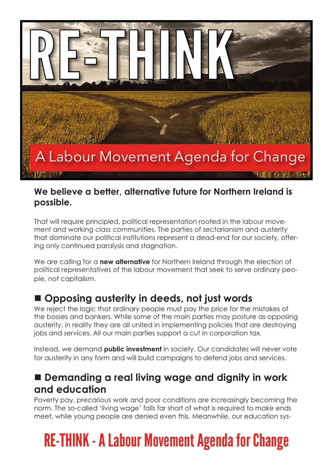

#### **We believe a better, alternative future for Northern Ireland is possible.**

That will require principled, political representation rooted in the labour movement and working class communities. The parties of sectarianism and austerity that dominate our political institutions represent a dead-end for our society, offering only continued paralysis and stagnation.

We are calling for a **new alternative** for Northern Ireland through the election of political representatives of the labour movement that seek to serve ordinary people, not capitalism.

## n **Opposing austerity in deeds, not just words**

We reject the logic that ordinary people must pay the price for the mistakes of the bosses and bankers. While some of the main parties may posture as opposing austerity, in reality they are all united in implementing policies that are destroying jobs and services. All our main parties support a cut in corporation tax.

Instead, we demand **public investment** in society. Our candidates will never vote for austerity in any form and will build campaigns to defend jobs and services.

### n **Demanding a real living wage and dignity in work and education**

Poverty pay, precarious work and poor conditions are increasingly becoming the norm. The so-called 'living wage' falls far short of what is required to make ends meet, while young people are denied even this. Meanwhile, our education sys-

# RE-THINK - A Labour Movement Agenda for Change